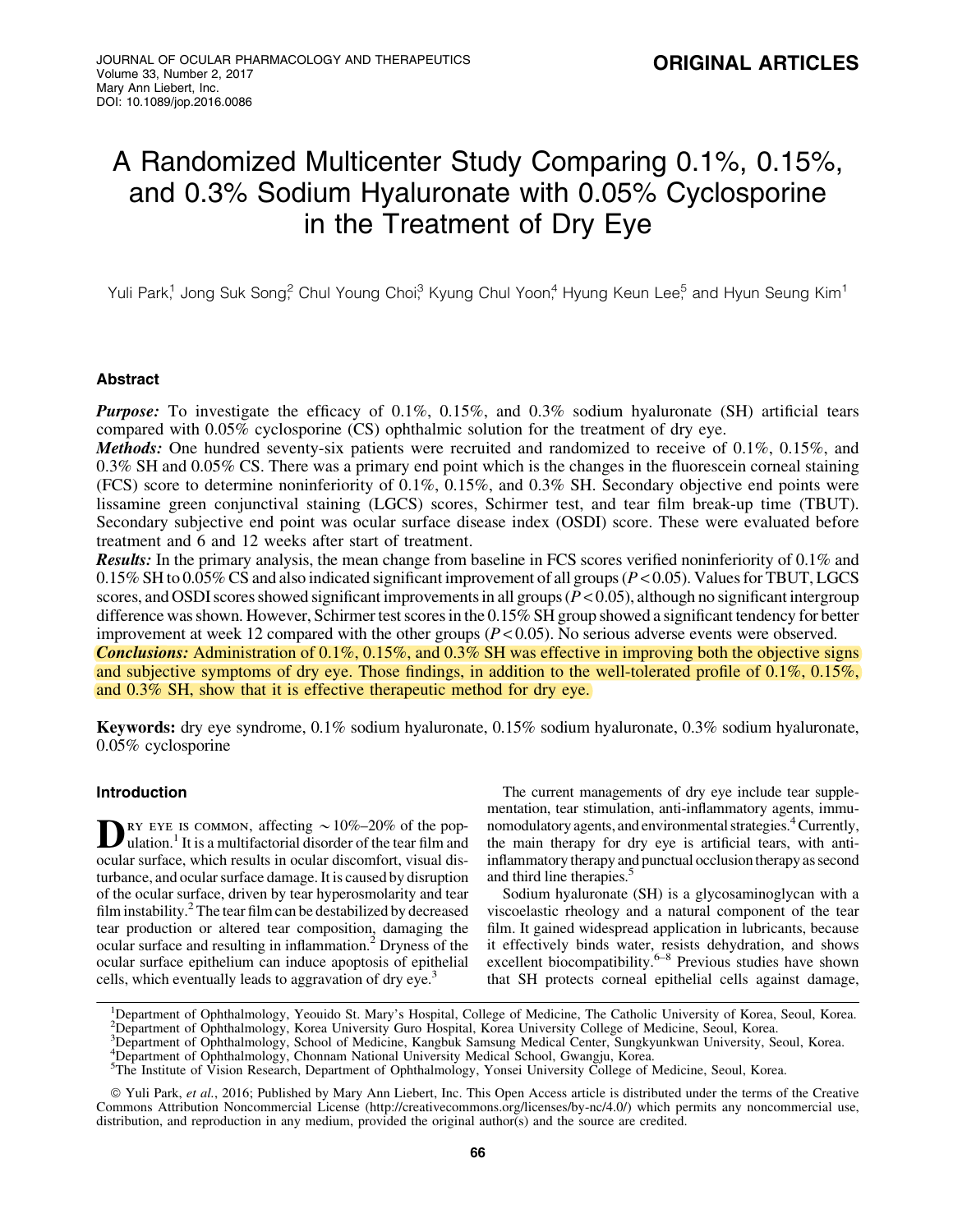# A Randomized Multicenter Study Comparing 0.1%, 0.15%, and 0.3% Sodium Hyaluronate with 0.05% Cyclosporine in the Treatment of Dry Eye

Yuli Park,<sup>1</sup> Jong Suk Song,<sup>2</sup> Chul Young Choi,<sup>3</sup> Kyung Chul Yoon,<sup>4</sup> Hyung Keun Lee,<sup>5</sup> and Hyun Seung Kim<sup>1</sup>

# Abstract

Purpose: To investigate the efficacy of 0.1%, 0.15%, and 0.3% sodium hyaluronate (SH) artificial tears compared with 0.05% cyclosporine (CS) ophthalmic solution for the treatment of dry eye.

**Methods:** One hundred seventy-six patients were recruited and randomized to receive of 0.1%, 0.15%, and 0.3% SH and 0.05% CS. There was a primary end point which is the changes in the fluorescein corneal staining (FCS) score to determine noninferiority of 0.1%, 0.15%, and 0.3% SH. Secondary objective end points were lissamine green conjunctival staining (LGCS) scores, Schirmer test, and tear film break-up time (TBUT). Secondary subjective end point was ocular surface disease index (OSDI) score. These were evaluated before treatment and 6 and 12 weeks after start of treatment.

Results: In the primary analysis, the mean change from baseline in FCS scores verified noninferiority of 0.1% and 0.15% SH to 0.05% CS and also indicated significant improvement of all groups (*P* < 0.05). Values for TBUT, LGCS scores, and OSDI scores showed significant improvements in all groups  $(P < 0.05)$ , although no significant intergroup difference was shown. However, Schirmer test scores in the 0.15% SH group showed a significant tendency for better improvement at week 12 compared with the other groups (*P* < 0.05). No serious adverse events were observed. Conclusions: Administration of 0.1%, 0.15%, and 0.3% SH was effective in improving both the objective signs and subjective symptoms of dry eye. Those findings, in addition to the well-tolerated profile of 0.1%, 0.15%, and 0.3% SH, show that it is effective therapeutic method for dry eye.

Keywords: dry eye syndrome, 0.1% sodium hyaluronate, 0.15% sodium hyaluronate, 0.3% sodium hyaluronate, 0.05% cyclosporine

# Introduction

**D**RY EYE IS COMMON, affecting  $\sim$  10%–20% of the pop-<br>ulation.<sup>1</sup> It is a multifactorial disorder of the tear film and ocular surface, which results in ocular discomfort, visual disturbance, and ocular surface damage. It is caused by disruption of the ocular surface, driven by tear hyperosmolarity and tear film instability. $^{2}$  The tear film can be destabilized by decreased tear production or altered tear composition, damaging the ocular surface and resulting in inflammation.2 Dryness of the ocular surface epithelium can induce apoptosis of epithelial cells, which eventually leads to aggravation of dry eye.<sup>3</sup>

The current managements of dry eye include tear supplementation, tear stimulation, anti-inflammatory agents, immunomodulatory agents, and environmental strategies.<sup>4</sup> Currently, the main therapy for dry eye is artificial tears, with antiinflammatory therapy and punctual occlusion therapy as second and third line therapies.<sup>5</sup>

Sodium hyaluronate (SH) is a glycosaminoglycan with a viscoelastic rheology and a natural component of the tear film. It gained widespread application in lubricants, because it effectively binds water, resists dehydration, and shows excellent biocompatibility.<sup>6–8</sup> Previous studies have shown that SH protects corneal epithelial cells against damage,

<sup>&</sup>lt;sup>1</sup>Department of Ophthalmology, Yeouido St. Mary's Hospital, College of Medicine, The Catholic University of Korea, Seoul, Korea. <sup>2</sup> Department of Ophthalmology, Korea University Guro Hospital, Korea University College of Medicine, Seoul, Korea.

<sup>3</sup> Department of Ophthalmology, School of Medicine, Kangbuk Samsung Medical Center, Sungkyunkwan University, Seoul, Korea.

<sup>4</sup> Department of Ophthalmology, Chonnam National University Medical School, Gwangju, Korea.

<sup>5</sup> The Institute of Vision Research, Department of Ophthalmology, Yonsei University College of Medicine, Seoul, Korea.

ª Yuli Park, *et al.*, 2016; Published by Mary Ann Liebert, Inc. This Open Access article is distributed under the terms of the Creative Commons Attribution Noncommercial License (http://creativecommons.org/licenses/by-nc/4.0/) which permits any noncommercial use, distribution, and reproduction in any medium, provided the original author(s) and the source are credited.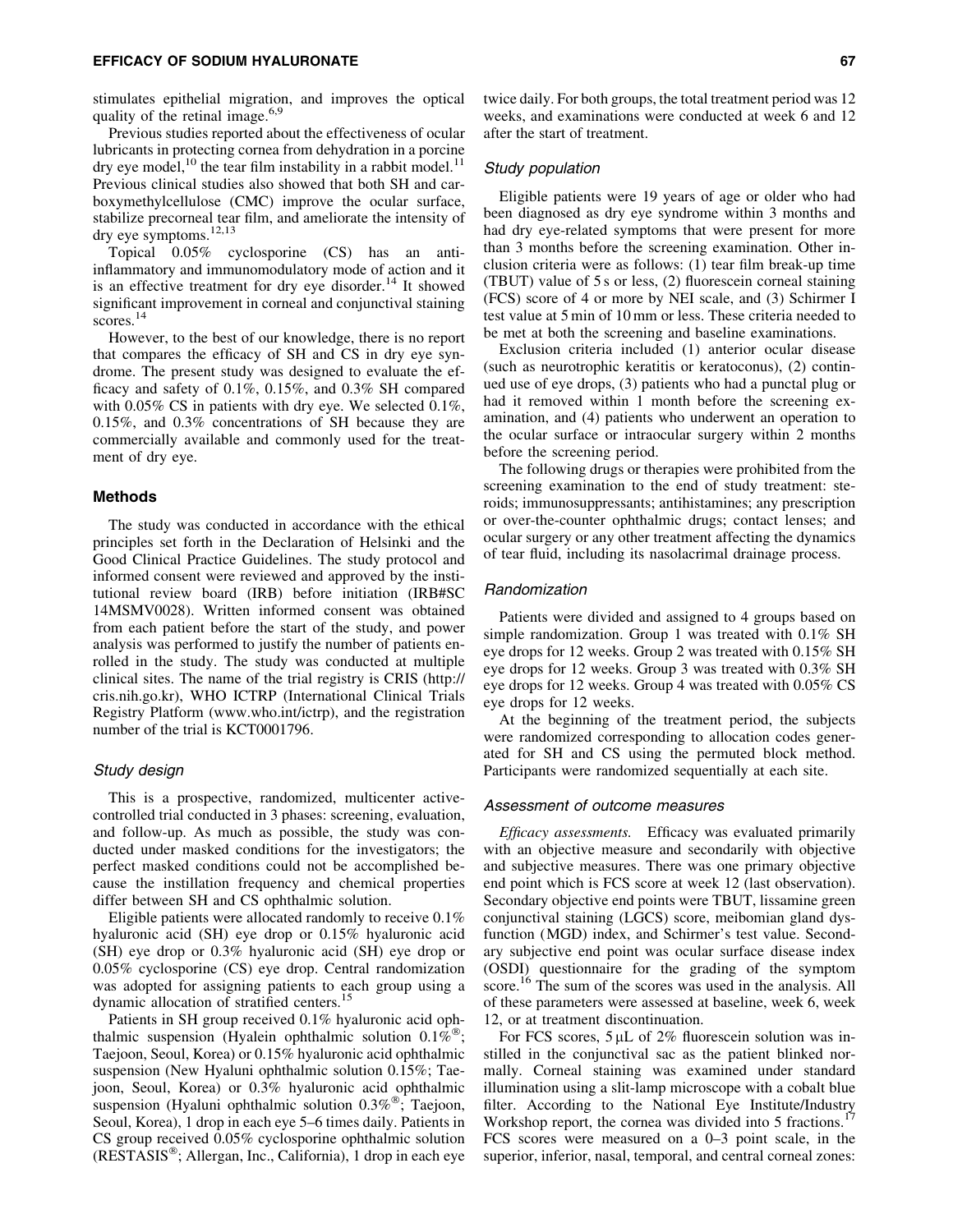#### EFFICACY OF SODIUM HYALURONATE 67

stimulates epithelial migration, and improves the optical quality of the retinal image. $6,9$ 

Previous studies reported about the effectiveness of ocular lubricants in protecting cornea from dehydration in a porcine dry eye model,<sup>10</sup> the tear film instability in a rabbit model.<sup>11</sup> Previous clinical studies also showed that both SH and carboxymethylcellulose (CMC) improve the ocular surface, stabilize precorneal tear film, and ameliorate the intensity of dry eye symptoms.<sup>12,13</sup>

Topical 0.05% cyclosporine (CS) has an antiinflammatory and immunomodulatory mode of action and it is an effective treatment for dry eye disorder.<sup>14</sup> It showed significant improvement in corneal and conjunctival staining scores.<sup>14</sup>

However, to the best of our knowledge, there is no report that compares the efficacy of SH and CS in dry eye syndrome. The present study was designed to evaluate the efficacy and safety of 0.1%, 0.15%, and 0.3% SH compared with 0.05% CS in patients with dry eye. We selected 0.1%, 0.15%, and 0.3% concentrations of SH because they are commercially available and commonly used for the treatment of dry eye.

# Methods

The study was conducted in accordance with the ethical principles set forth in the Declaration of Helsinki and the Good Clinical Practice Guidelines. The study protocol and informed consent were reviewed and approved by the institutional review board (IRB) before initiation (IRB#SC 14MSMV0028). Written informed consent was obtained from each patient before the start of the study, and power analysis was performed to justify the number of patients enrolled in the study. The study was conducted at multiple clinical sites. The name of the trial registry is CRIS (http:// cris.nih.go.kr), WHO ICTRP (International Clinical Trials Registry Platform (www.who.int/ictrp), and the registration number of the trial is KCT0001796.

## Study design

This is a prospective, randomized, multicenter activecontrolled trial conducted in 3 phases: screening, evaluation, and follow-up. As much as possible, the study was conducted under masked conditions for the investigators; the perfect masked conditions could not be accomplished because the instillation frequency and chemical properties differ between SH and CS ophthalmic solution.

Eligible patients were allocated randomly to receive 0.1% hyaluronic acid (SH) eye drop or 0.15% hyaluronic acid (SH) eye drop or 0.3% hyaluronic acid (SH) eye drop or 0.05% cyclosporine (CS) eye drop. Central randomization was adopted for assigning patients to each group using a dynamic allocation of stratified centers.<sup>15</sup>

Patients in SH group received 0.1% hyaluronic acid ophthalmic suspension (Hyalein ophthalmic solution  $0.1\overline{\hbar}^{\circledR}$ ; Taejoon, Seoul, Korea) or 0.15% hyaluronic acid ophthalmic suspension (New Hyaluni ophthalmic solution 0.15%; Taejoon, Seoul, Korea) or 0.3% hyaluronic acid ophthalmic suspension (Hyaluni ophthalmic solution 0.3%<sup>®</sup>; Taejoon, Seoul, Korea), 1 drop in each eye 5–6 times daily. Patients in CS group received 0.05% cyclosporine ophthalmic solution (RESTASIS<sup>®</sup>; Allergan, Inc., California), 1 drop in each eye

twice daily. For both groups, the total treatment period was 12 weeks, and examinations were conducted at week 6 and 12 after the start of treatment.

# Study population

Eligible patients were 19 years of age or older who had been diagnosed as dry eye syndrome within 3 months and had dry eye-related symptoms that were present for more than 3 months before the screening examination. Other inclusion criteria were as follows: (1) tear film break-up time (TBUT) value of 5 s or less, (2) fluorescein corneal staining (FCS) score of 4 or more by NEI scale, and (3) Schirmer I test value at 5 min of 10 mm or less. These criteria needed to be met at both the screening and baseline examinations.

Exclusion criteria included (1) anterior ocular disease (such as neurotrophic keratitis or keratoconus), (2) continued use of eye drops, (3) patients who had a punctal plug or had it removed within 1 month before the screening examination, and (4) patients who underwent an operation to the ocular surface or intraocular surgery within 2 months before the screening period.

The following drugs or therapies were prohibited from the screening examination to the end of study treatment: steroids; immunosuppressants; antihistamines; any prescription or over-the-counter ophthalmic drugs; contact lenses; and ocular surgery or any other treatment affecting the dynamics of tear fluid, including its nasolacrimal drainage process.

#### Randomization

Patients were divided and assigned to 4 groups based on simple randomization. Group 1 was treated with 0.1% SH eye drops for 12 weeks. Group 2 was treated with 0.15% SH eye drops for 12 weeks. Group 3 was treated with 0.3% SH eye drops for 12 weeks. Group 4 was treated with 0.05% CS eye drops for 12 weeks.

At the beginning of the treatment period, the subjects were randomized corresponding to allocation codes generated for SH and CS using the permuted block method. Participants were randomized sequentially at each site.

# Assessment of outcome measures

*Efficacy assessments.* Efficacy was evaluated primarily with an objective measure and secondarily with objective and subjective measures. There was one primary objective end point which is FCS score at week 12 (last observation). Secondary objective end points were TBUT, lissamine green conjunctival staining (LGCS) score, meibomian gland dysfunction (MGD) index, and Schirmer's test value. Secondary subjective end point was ocular surface disease index (OSDI) questionnaire for the grading of the symptom score.<sup>16</sup> The sum of the scores was used in the analysis. All of these parameters were assessed at baseline, week 6, week 12, or at treatment discontinuation.

For FCS scores,  $5 \mu L$  of 2% fluorescein solution was instilled in the conjunctival sac as the patient blinked normally. Corneal staining was examined under standard illumination using a slit-lamp microscope with a cobalt blue filter. According to the National Eye Institute/Industry Workshop report, the cornea was divided into 5 fractions.<sup>17</sup> FCS scores were measured on a 0–3 point scale, in the superior, inferior, nasal, temporal, and central corneal zones: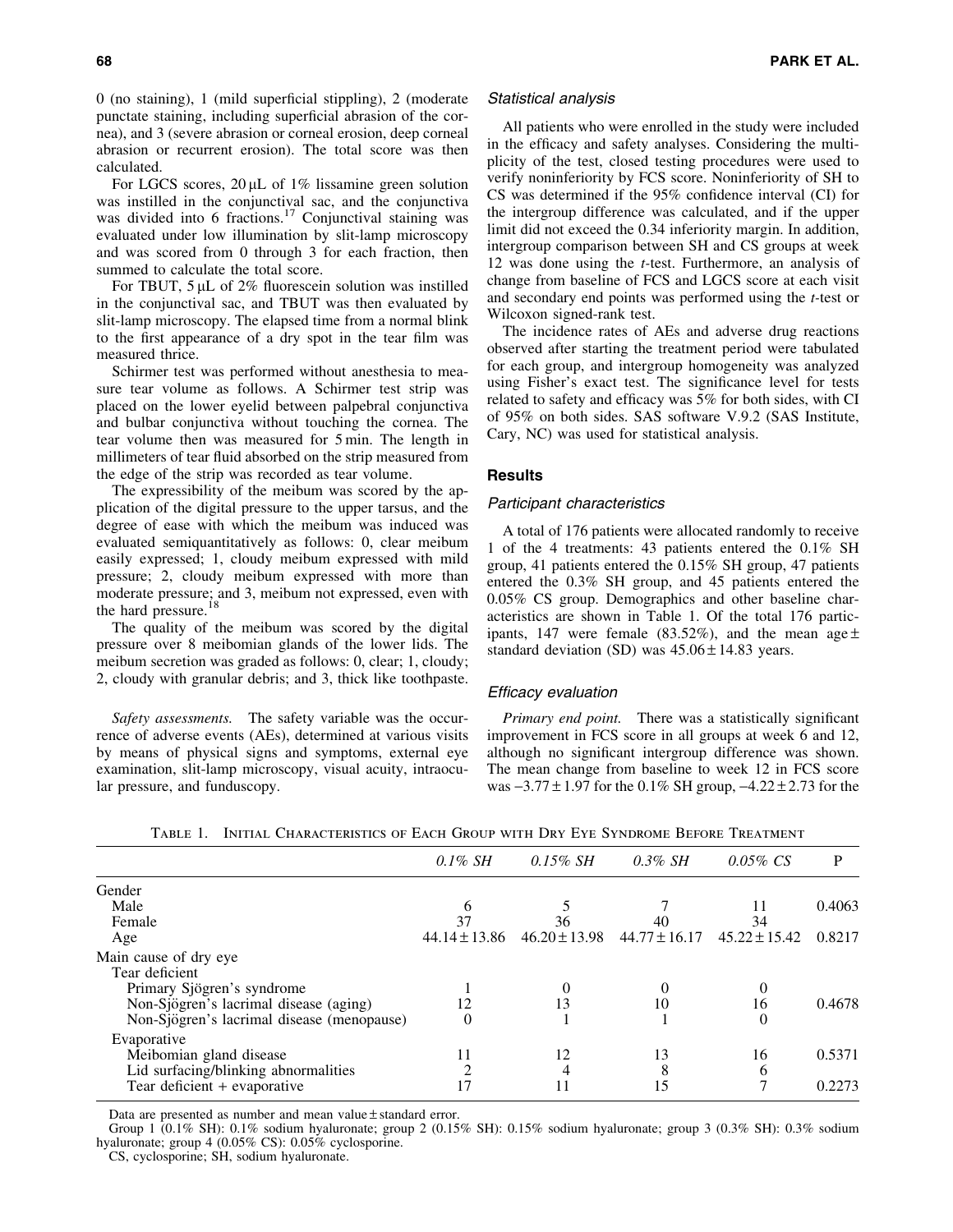0 (no staining), 1 (mild superficial stippling), 2 (moderate punctate staining, including superficial abrasion of the cornea), and 3 (severe abrasion or corneal erosion, deep corneal abrasion or recurrent erosion). The total score was then calculated.

For LGCS scores,  $20 \mu L$  of 1% lissamine green solution was instilled in the conjunctival sac, and the conjunctiva was divided into 6 fractions.<sup>17</sup> Conjunctival staining was evaluated under low illumination by slit-lamp microscopy and was scored from 0 through 3 for each fraction, then summed to calculate the total score.

For TBUT,  $5 \mu L$  of 2% fluorescein solution was instilled in the conjunctival sac, and TBUT was then evaluated by slit-lamp microscopy. The elapsed time from a normal blink to the first appearance of a dry spot in the tear film was measured thrice.

Schirmer test was performed without anesthesia to measure tear volume as follows. A Schirmer test strip was placed on the lower eyelid between palpebral conjunctiva and bulbar conjunctiva without touching the cornea. The tear volume then was measured for 5 min. The length in millimeters of tear fluid absorbed on the strip measured from the edge of the strip was recorded as tear volume.

The expressibility of the meibum was scored by the application of the digital pressure to the upper tarsus, and the degree of ease with which the meibum was induced was evaluated semiquantitatively as follows: 0, clear meibum easily expressed; 1, cloudy meibum expressed with mild pressure; 2, cloudy meibum expressed with more than moderate pressure; and 3, meibum not expressed, even with the hard pressure.<sup>18</sup>

The quality of the meibum was scored by the digital pressure over 8 meibomian glands of the lower lids. The meibum secretion was graded as follows: 0, clear; 1, cloudy; 2, cloudy with granular debris; and 3, thick like toothpaste.

*Safety assessments.* The safety variable was the occurrence of adverse events (AEs), determined at various visits by means of physical signs and symptoms, external eye examination, slit-lamp microscopy, visual acuity, intraocular pressure, and funduscopy.

# Statistical analysis

All patients who were enrolled in the study were included in the efficacy and safety analyses. Considering the multiplicity of the test, closed testing procedures were used to verify noninferiority by FCS score. Noninferiority of SH to CS was determined if the 95% confidence interval (CI) for the intergroup difference was calculated, and if the upper limit did not exceed the 0.34 inferiority margin. In addition, intergroup comparison between SH and CS groups at week 12 was done using the *t-*test. Furthermore, an analysis of change from baseline of FCS and LGCS score at each visit and secondary end points was performed using the *t-*test or Wilcoxon signed-rank test.

The incidence rates of AEs and adverse drug reactions observed after starting the treatment period were tabulated for each group, and intergroup homogeneity was analyzed using Fisher's exact test. The significance level for tests related to safety and efficacy was 5% for both sides, with CI of 95% on both sides. SAS software V.9.2 (SAS Institute, Cary, NC) was used for statistical analysis.

# Results

#### Participant characteristics

A total of 176 patients were allocated randomly to receive 1 of the 4 treatments: 43 patients entered the 0.1% SH group, 41 patients entered the 0.15% SH group, 47 patients entered the 0.3% SH group, and 45 patients entered the 0.05% CS group. Demographics and other baseline characteristics are shown in Table 1. Of the total 176 participants, 147 were female (83.52%), and the mean age  $\pm$ standard deviation (SD) was  $45.06 \pm 14.83$  years.

#### Efficacy evaluation

*Primary end point.* There was a statistically significant improvement in FCS score in all groups at week 6 and 12, although no significant intergroup difference was shown. The mean change from baseline to week 12 in FCS score was  $-3.77 \pm 1.97$  for the 0.1% SH group,  $-4.22 \pm 2.73$  for the

|                                            | $0.1\%$ SH        | $0.15\%$ SH       | $0.3\%$ SH        | $0.05\% \text{ CS}$ | P      |
|--------------------------------------------|-------------------|-------------------|-------------------|---------------------|--------|
| Gender                                     |                   |                   |                   |                     |        |
| Male                                       | b                 |                   |                   |                     | 0.4063 |
| Female                                     | 37                | 36                | 40                | 34                  |        |
| Age                                        | $44.14 \pm 13.86$ | $46.20 \pm 13.98$ | $44.77 \pm 16.17$ | $45.22 \pm 15.42$   | 0.8217 |
| Main cause of dry eye                      |                   |                   |                   |                     |        |
| Tear deficient                             |                   |                   |                   |                     |        |
| Primary Sjögren's syndrome                 |                   |                   |                   |                     |        |
| Non-Sjögren's lacrimal disease (aging)     | 12                | 13                | 10                | 16                  | 0.4678 |
| Non-Sjögren's lacrimal disease (menopause) | $\theta$          |                   |                   | 0                   |        |
| Evaporative                                |                   |                   |                   |                     |        |
| Meibomian gland disease                    | 11                | 12                | 13                | 16                  | 0.5371 |
| Lid surfacing/blinking abnormalities       |                   |                   |                   | h                   |        |
| Tear deficient + evaporative               |                   |                   |                   |                     | 0.2273 |

Table 1. Initial Characteristics of Each Group with Dry Eye Syndrome Before Treatment

Data are presented as number and mean value  $\pm$  standard error.

Group 1 (0.1% SH): 0.1% sodium hyaluronate; group 2 (0.15% SH): 0.15% sodium hyaluronate; group 3 (0.3% SH): 0.3% sodium hyaluronate; group 4 (0.05% CS): 0.05% cyclosporine.

CS, cyclosporine; SH, sodium hyaluronate.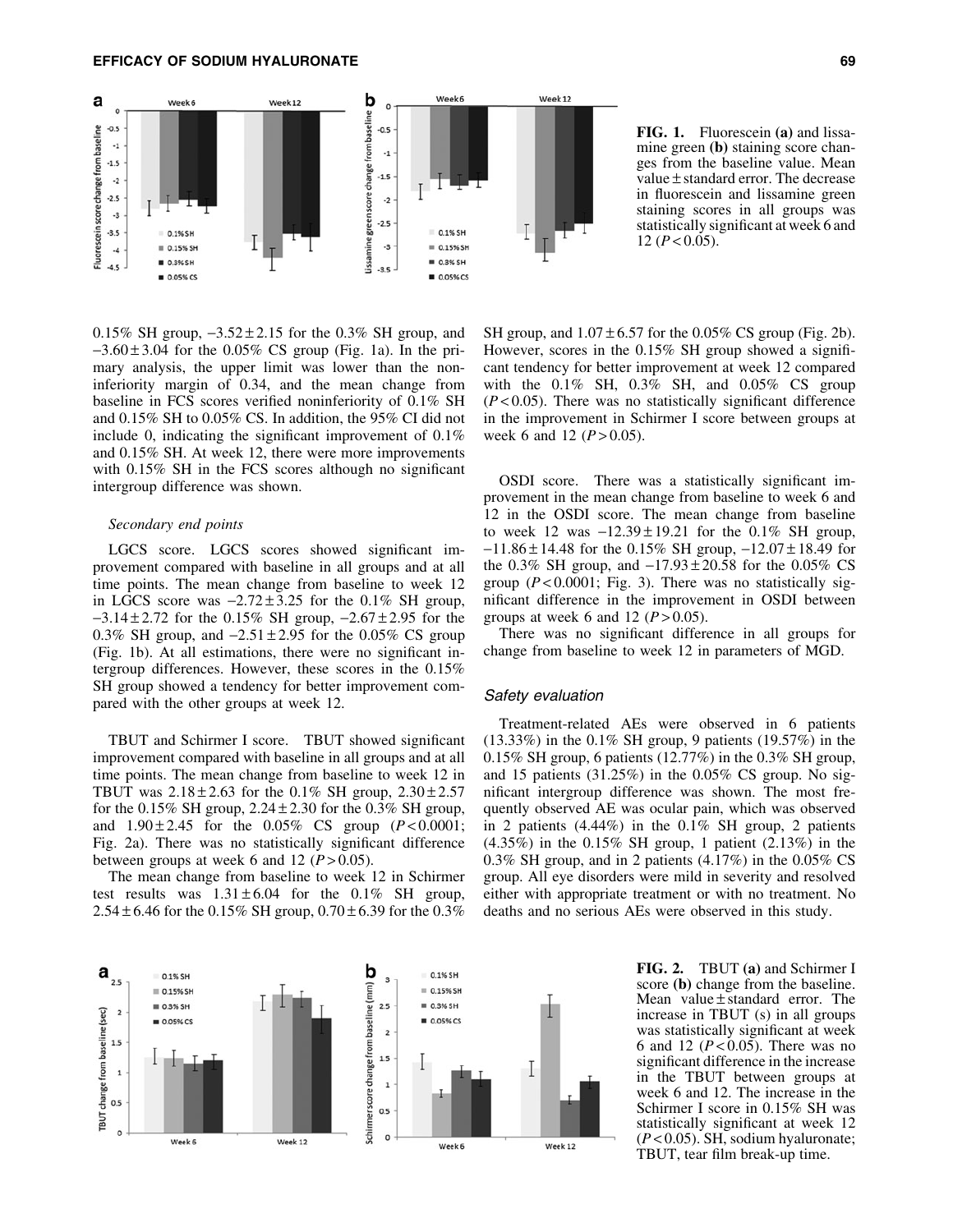# EFFICACY OF SODIUM HYALURONATE 69



FIG. 1. Fluorescein (a) and lissamine green (b) staining score changes from the baseline value. Mean value  $\pm$  standard error. The decrease in fluorescein and lissamine green staining scores in all groups was statistically significant at week 6 and 12  $(P< 0.05)$ .

0.15% SH group,  $-3.52 \pm 2.15$  for the 0.3% SH group, and  $-3.60 \pm 3.04$  for the 0.05% CS group (Fig. 1a). In the primary analysis, the upper limit was lower than the noninferiority margin of 0.34, and the mean change from baseline in FCS scores verified noninferiority of 0.1% SH and 0.15% SH to 0.05% CS. In addition, the 95% CI did not include 0, indicating the significant improvement of 0.1% and 0.15% SH. At week 12, there were more improvements with 0.15% SH in the FCS scores although no significant intergroup difference was shown.

# *Secondary end points*

LGCS score. LGCS scores showed significant improvement compared with baseline in all groups and at all time points. The mean change from baseline to week 12 in LGCS score was  $-2.72 \pm 3.25$  for the 0.1% SH group,  $-3.14 \pm 2.72$  for the 0.15% SH group,  $-2.67 \pm 2.95$  for the 0.3% SH group, and  $-2.51 \pm 2.95$  for the 0.05% CS group (Fig. 1b). At all estimations, there were no significant intergroup differences. However, these scores in the 0.15% SH group showed a tendency for better improvement compared with the other groups at week 12.

TBUT and Schirmer I score. TBUT showed significant improvement compared with baseline in all groups and at all time points. The mean change from baseline to week 12 in TBUT was  $2.18 \pm 2.63$  for the 0.1% SH group,  $2.30 \pm 2.57$ for the  $0.15\%$  SH group,  $2.24 \pm 2.30$  for the  $0.3\%$  SH group, and  $1.90 \pm 2.45$  for the 0.05% CS group ( $P < 0.0001$ ; Fig. 2a). There was no statistically significant difference between groups at week 6 and 12  $(P > 0.05)$ .

The mean change from baseline to week 12 in Schirmer test results was  $1.31 \pm 6.04$  for the 0.1% SH group, 2.54  $\pm$  6.46 for the 0.15% SH group, 0.70  $\pm$  6.39 for the 0.3%

SH group, and  $1.07 \pm 6.57$  for the 0.05% CS group (Fig. 2b). However, scores in the 0.15% SH group showed a significant tendency for better improvement at week 12 compared with the 0.1% SH, 0.3% SH, and 0.05% CS group  $(P<0.05)$ . There was no statistically significant difference in the improvement in Schirmer I score between groups at week 6 and 12  $(P > 0.05)$ .

OSDI score. There was a statistically significant improvement in the mean change from baseline to week 6 and 12 in the OSDI score. The mean change from baseline to week 12 was  $-12.39 \pm 19.21$  for the 0.1% SH group,  $-11.86 \pm 14.48$  for the 0.15% SH group,  $-12.07 \pm 18.49$  for the 0.3% SH group, and  $-17.93 \pm 20.58$  for the 0.05% CS group  $(P < 0.0001$ ; Fig. 3). There was no statistically significant difference in the improvement in OSDI between groups at week 6 and 12  $(P > 0.05)$ .

There was no significant difference in all groups for change from baseline to week 12 in parameters of MGD.

#### Safety evaluation

Treatment-related AEs were observed in 6 patients (13.33%) in the 0.1% SH group, 9 patients (19.57%) in the 0.15% SH group, 6 patients (12.77%) in the 0.3% SH group, and 15 patients  $(31.25\%)$  in the 0.05% CS group. No significant intergroup difference was shown. The most frequently observed AE was ocular pain, which was observed in 2 patients (4.44%) in the 0.1% SH group, 2 patients (4.35%) in the 0.15% SH group, 1 patient (2.13%) in the 0.3% SH group, and in 2 patients (4.17%) in the 0.05% CS group. All eye disorders were mild in severity and resolved either with appropriate treatment or with no treatment. No deaths and no serious AEs were observed in this study.



FIG. 2. TBUT (a) and Schirmer I score (b) change from the baseline. Mean value  $\pm$  standard error. The increase in TBUT (s) in all groups was statistically significant at week 6 and 12 (*P* < 0.05). There was no significant difference in the increase in the TBUT between groups at week 6 and 12. The increase in the Schirmer I score in 0.15% SH was statistically significant at week 12 (*P* < 0.05). SH, sodium hyaluronate; TBUT, tear film break-up time.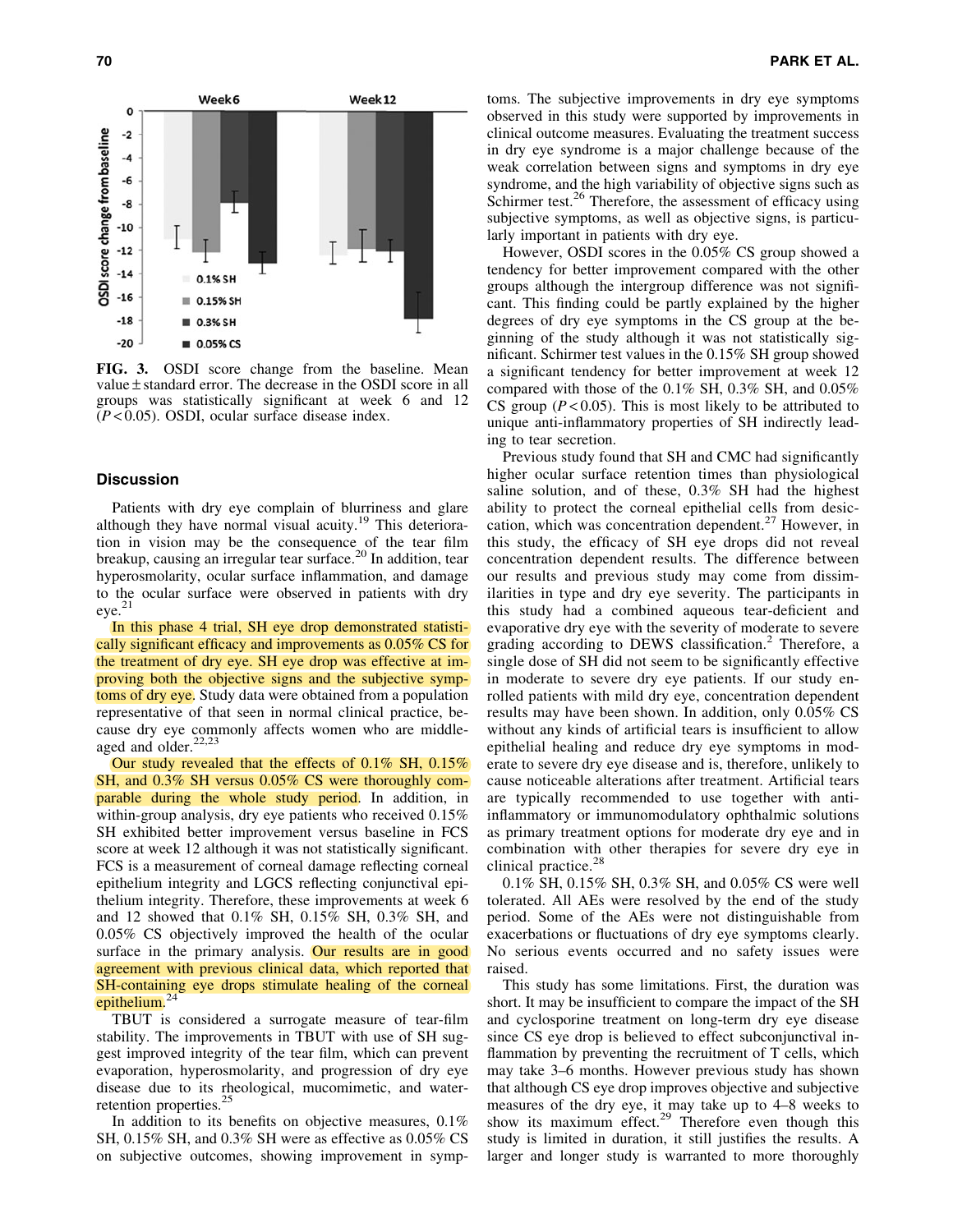

FIG. 3. OSDI score change from the baseline. Mean value  $\pm$  standard error. The decrease in the OSDI score in all groups was statistically significant at week 6 and 12 (*P* < 0.05). OSDI, ocular surface disease index.

# **Discussion**

Patients with dry eye complain of blurriness and glare although they have normal visual acuity.<sup>19</sup> This deterioration in vision may be the consequence of the tear film breakup, causing an irregular tear surface.<sup>20</sup> In addition, tear hyperosmolarity, ocular surface inflammation, and damage to the ocular surface were observed in patients with dry eye.<sup>21</sup>

In this phase 4 trial, SH eye drop demonstrated statistically significant efficacy and improvements as 0.05% CS for the treatment of dry eye. SH eye drop was effective at improving both the objective signs and the subjective symptoms of dry eye. Study data were obtained from a population representative of that seen in normal clinical practice, because dry eye commonly affects women who are middleaged and older.<sup>22,23</sup>

Our study revealed that the effects of 0.1% SH, 0.15% SH, and 0.3% SH versus 0.05% CS were thoroughly comparable during the whole study period. In addition, in within-group analysis, dry eye patients who received 0.15% SH exhibited better improvement versus baseline in FCS score at week 12 although it was not statistically significant. FCS is a measurement of corneal damage reflecting corneal epithelium integrity and LGCS reflecting conjunctival epithelium integrity. Therefore, these improvements at week 6 and 12 showed that 0.1% SH, 0.15% SH, 0.3% SH, and 0.05% CS objectively improved the health of the ocular surface in the primary analysis. Our results are in good agreement with previous clinical data, which reported that SH-containing eye drops stimulate healing of the corneal epithelium. $24$ 

TBUT is considered a surrogate measure of tear-film stability. The improvements in TBUT with use of SH suggest improved integrity of the tear film, which can prevent evaporation, hyperosmolarity, and progression of dry eye disease due to its rheological, mucomimetic, and waterretention properties.<sup>25</sup>

In addition to its benefits on objective measures, 0.1% SH, 0.15% SH, and 0.3% SH were as effective as 0.05% CS on subjective outcomes, showing improvement in symptoms. The subjective improvements in dry eye symptoms observed in this study were supported by improvements in clinical outcome measures. Evaluating the treatment success in dry eye syndrome is a major challenge because of the weak correlation between signs and symptoms in dry eye syndrome, and the high variability of objective signs such as Schirmer test.<sup>26</sup> Therefore, the assessment of efficacy using subjective symptoms, as well as objective signs, is particularly important in patients with dry eye.

However, OSDI scores in the 0.05% CS group showed a tendency for better improvement compared with the other groups although the intergroup difference was not significant. This finding could be partly explained by the higher degrees of dry eye symptoms in the CS group at the beginning of the study although it was not statistically significant. Schirmer test values in the 0.15% SH group showed a significant tendency for better improvement at week 12 compared with those of the 0.1% SH, 0.3% SH, and 0.05% CS group  $(P<0.05)$ . This is most likely to be attributed to unique anti-inflammatory properties of SH indirectly leading to tear secretion.

Previous study found that SH and CMC had significantly higher ocular surface retention times than physiological saline solution, and of these, 0.3% SH had the highest ability to protect the corneal epithelial cells from desiccation, which was concentration dependent.<sup>27</sup> However, in this study, the efficacy of SH eye drops did not reveal concentration dependent results. The difference between our results and previous study may come from dissimilarities in type and dry eye severity. The participants in this study had a combined aqueous tear-deficient and evaporative dry eye with the severity of moderate to severe grading according to DEWS classification.<sup>2</sup> Therefore, a single dose of SH did not seem to be significantly effective in moderate to severe dry eye patients. If our study enrolled patients with mild dry eye, concentration dependent results may have been shown. In addition, only 0.05% CS without any kinds of artificial tears is insufficient to allow epithelial healing and reduce dry eye symptoms in moderate to severe dry eye disease and is, therefore, unlikely to cause noticeable alterations after treatment. Artificial tears are typically recommended to use together with antiinflammatory or immunomodulatory ophthalmic solutions as primary treatment options for moderate dry eye and in combination with other therapies for severe dry eye in clinical practice.<sup>28</sup>

0.1% SH, 0.15% SH, 0.3% SH, and 0.05% CS were well tolerated. All AEs were resolved by the end of the study period. Some of the AEs were not distinguishable from exacerbations or fluctuations of dry eye symptoms clearly. No serious events occurred and no safety issues were raised.

This study has some limitations. First, the duration was short. It may be insufficient to compare the impact of the SH and cyclosporine treatment on long-term dry eye disease since CS eye drop is believed to effect subconjunctival inflammation by preventing the recruitment of T cells, which may take 3–6 months. However previous study has shown that although CS eye drop improves objective and subjective measures of the dry eye, it may take up to 4–8 weeks to show its maximum effect. $29$  Therefore even though this study is limited in duration, it still justifies the results. A larger and longer study is warranted to more thoroughly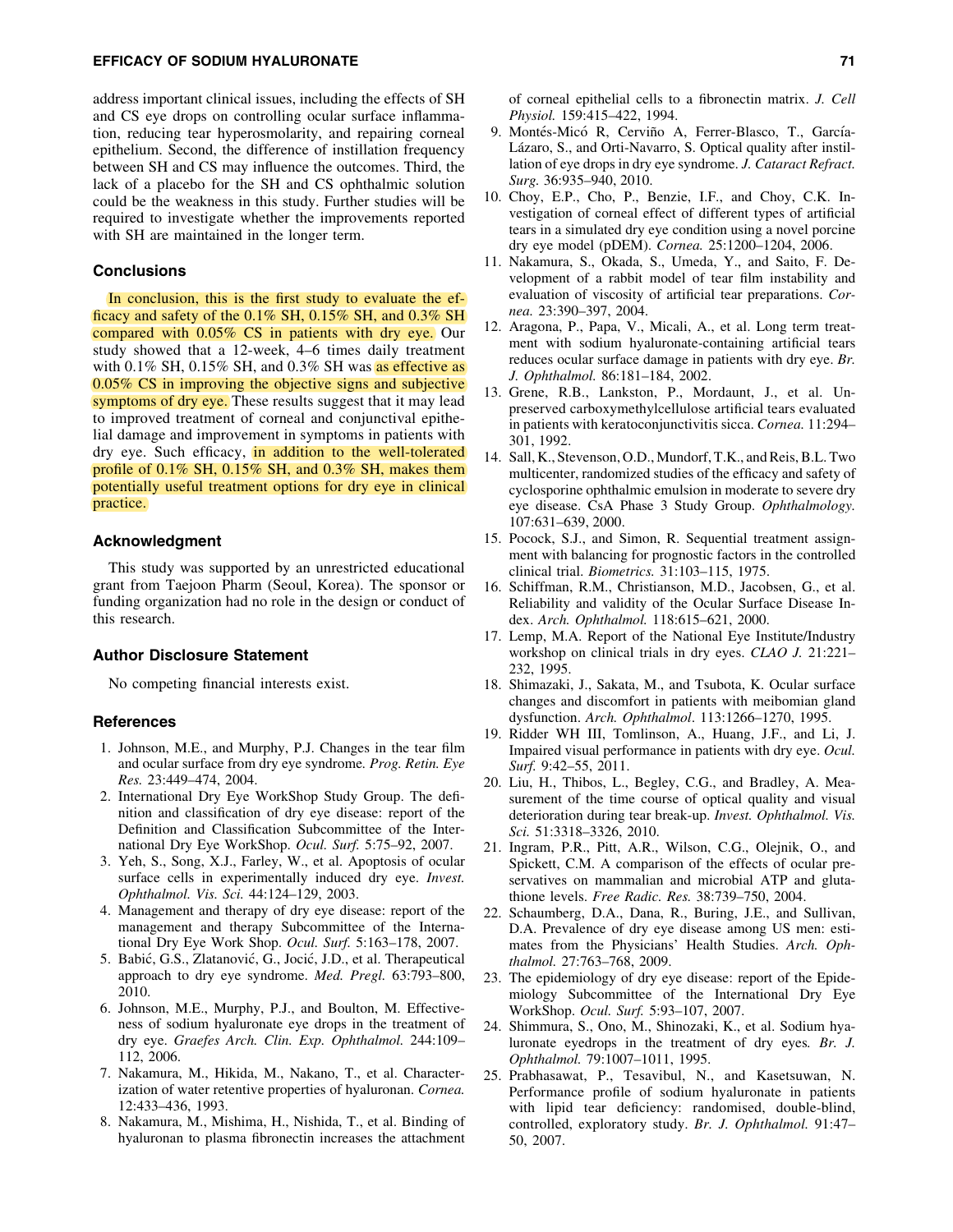# EFFICACY OF SODIUM HYALURONATE 71

address important clinical issues, including the effects of SH and CS eye drops on controlling ocular surface inflammation, reducing tear hyperosmolarity, and repairing corneal epithelium. Second, the difference of instillation frequency between SH and CS may influence the outcomes. Third, the lack of a placebo for the SH and CS ophthalmic solution could be the weakness in this study. Further studies will be required to investigate whether the improvements reported with SH are maintained in the longer term.

# **Conclusions**

In conclusion, this is the first study to evaluate the efficacy and safety of the 0.1% SH, 0.15% SH, and 0.3% SH compared with 0.05% CS in patients with dry eye. Our study showed that a 12-week, 4–6 times daily treatment with  $0.1\%$  SH,  $0.15\%$  SH, and  $0.3\%$  SH was as effective as 0.05% CS in improving the objective signs and subjective symptoms of dry eye. These results suggest that it may lead to improved treatment of corneal and conjunctival epithelial damage and improvement in symptoms in patients with dry eye. Such efficacy, in addition to the well-tolerated profile of 0.1% SH, 0.15% SH, and 0.3% SH, makes them potentially useful treatment options for dry eye in clinical practice.

# Acknowledgment

This study was supported by an unrestricted educational grant from Taejoon Pharm (Seoul, Korea). The sponsor or funding organization had no role in the design or conduct of this research.

# Author Disclosure Statement

No competing financial interests exist.

#### References

- 1. Johnson, M.E., and Murphy, P.J. Changes in the tear film and ocular surface from dry eye syndrome*. Prog. Retin. Eye Res.* 23:449–474, 2004.
- 2. International Dry Eye WorkShop Study Group. The definition and classification of dry eye disease: report of the Definition and Classification Subcommittee of the International Dry Eye WorkShop. *Ocul. Surf.* 5:75–92, 2007.
- 3. Yeh, S., Song, X.J., Farley, W., et al. Apoptosis of ocular surface cells in experimentally induced dry eye. *Invest. Ophthalmol. Vis. Sci.* 44:124–129, 2003.
- 4. Management and therapy of dry eye disease: report of the management and therapy Subcommittee of the International Dry Eye Work Shop. *Ocul. Surf.* 5:163–178, 2007.
- 5. Babić, G.S., Zlatanović, G., Jocić, J.D., et al. Therapeutical approach to dry eye syndrome. *Med. Pregl.* 63:793–800, 2010.
- 6. Johnson, M.E., Murphy, P.J., and Boulton, M. Effectiveness of sodium hyaluronate eye drops in the treatment of dry eye. *Graefes Arch. Clin. Exp. Ophthalmol.* 244:109– 112, 2006.
- 7. Nakamura, M., Hikida, M., Nakano, T., et al. Characterization of water retentive properties of hyaluronan. *Cornea.* 12:433–436, 1993.
- 8. Nakamura, M., Mishima, H., Nishida, T., et al. Binding of hyaluronan to plasma fibronectin increases the attachment

of corneal epithelial cells to a fibronectin matrix. *J. Cell Physiol.* 159:415–422, 1994.

- 9. Montés-Micó R, Cerviño A, Ferrer-Blasco, T., García-Lázaro, S., and Orti-Navarro, S. Optical quality after instillation of eye drops in dry eye syndrome. *J. Cataract Refract. Surg.* 36:935–940, 2010.
- 10. Choy, E.P., Cho, P., Benzie, I.F., and Choy, C.K. Investigation of corneal effect of different types of artificial tears in a simulated dry eye condition using a novel porcine dry eye model (pDEM). *Cornea.* 25:1200–1204, 2006.
- 11. Nakamura, S., Okada, S., Umeda, Y., and Saito, F. Development of a rabbit model of tear film instability and evaluation of viscosity of artificial tear preparations. *Cornea.* 23:390–397, 2004.
- 12. Aragona, P., Papa, V., Micali, A., et al. Long term treatment with sodium hyaluronate-containing artificial tears reduces ocular surface damage in patients with dry eye. *Br. J. Ophthalmol.* 86:181–184, 2002.
- 13. Grene, R.B., Lankston, P., Mordaunt, J., et al. Unpreserved carboxymethylcellulose artificial tears evaluated in patients with keratoconjunctivitis sicca. *Cornea.* 11:294– 301, 1992.
- 14. Sall, K., Stevenson, O.D., Mundorf, T.K., and Reis, B.L. Two multicenter, randomized studies of the efficacy and safety of cyclosporine ophthalmic emulsion in moderate to severe dry eye disease. CsA Phase 3 Study Group. *Ophthalmology.* 107:631–639, 2000.
- 15. Pocock, S.J., and Simon, R. Sequential treatment assignment with balancing for prognostic factors in the controlled clinical trial. *Biometrics.* 31:103–115, 1975.
- 16. Schiffman, R.M., Christianson, M.D., Jacobsen, G., et al. Reliability and validity of the Ocular Surface Disease Index. *Arch. Ophthalmol.* 118:615–621, 2000.
- 17. Lemp, M.A. Report of the National Eye Institute/Industry workshop on clinical trials in dry eyes. *CLAO J.* 21:221– 232, 1995.
- 18. Shimazaki, J., Sakata, M., and Tsubota, K. Ocular surface changes and discomfort in patients with meibomian gland dysfunction. *Arch. Ophthalmol*. 113:1266–1270, 1995.
- 19. Ridder WH III, Tomlinson, A., Huang, J.F., and Li, J. Impaired visual performance in patients with dry eye. *Ocul. Surf.* 9:42–55, 2011.
- 20. Liu, H., Thibos, L., Begley, C.G., and Bradley, A. Measurement of the time course of optical quality and visual deterioration during tear break-up. *Invest. Ophthalmol. Vis. Sci.* 51:3318–3326, 2010.
- 21. Ingram, P.R., Pitt, A.R., Wilson, C.G., Olejnik, O., and Spickett, C.M. A comparison of the effects of ocular preservatives on mammalian and microbial ATP and glutathione levels. *Free Radic. Res.* 38:739–750, 2004.
- 22. Schaumberg, D.A., Dana, R., Buring, J.E., and Sullivan, D.A. Prevalence of dry eye disease among US men: estimates from the Physicians' Health Studies. *Arch. Ophthalmol.* 27:763–768, 2009.
- 23. The epidemiology of dry eye disease: report of the Epidemiology Subcommittee of the International Dry Eye WorkShop. *Ocul. Surf.* 5:93–107, 2007.
- 24. Shimmura, S., Ono, M., Shinozaki, K., et al. Sodium hyaluronate eyedrops in the treatment of dry eyes*. Br. J. Ophthalmol.* 79:1007–1011, 1995.
- 25. Prabhasawat, P., Tesavibul, N., and Kasetsuwan, N. Performance profile of sodium hyaluronate in patients with lipid tear deficiency: randomised, double-blind, controlled, exploratory study. *Br. J. Ophthalmol.* 91:47– 50, 2007.